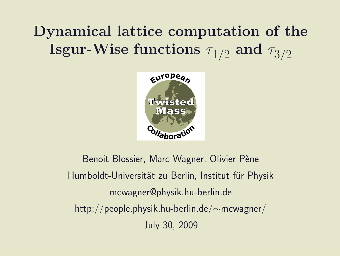# Dynamical lattice computation of the  ${\bf I}$ sgur-Wise functions  $\tau_{1/2}$  and  $\tau_{3/2}$



Benoit Blossier, Marc Wagner, Olivier Pène Humboldt-Universität zu Berlin, Institut für Physik mcwagner@physik.hu-berlin.de http://people.physik.hu-berlin.de/∼mcwagner/ July 30, 2009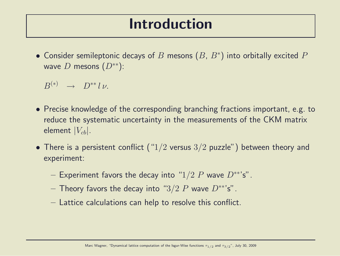## Introduction

 $\bullet$  Consider semileptonic decays of  $B$  mesons  $(B,\,B^*)$  into orbitally excited  $P$ wave D mesons  $(D^{**})$ :

 $B^{(*)} \to D^{**} l \nu.$ 

- Precise knowledge of the corresponding branching fractions important, e.g. to reduce the systematic uncertainty in the measurements of the CKM matrix element  $|V_{cb}|$ .
- There is a persistent conflict (" $1/2$  versus  $3/2$  puzzle") between theory and experiment:
	- Experiment favors the decay into "1/2 P wave  $D^{**}$ 's".
	- Theory favors the decay into " $3/2$  P wave  $D^{**}$ 's".
	- Lattice calculations can help to resolve this conflict.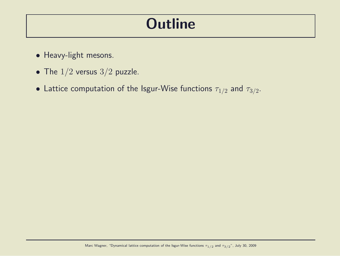## **Outline**

- Heavy-light mesons.
- The  $1/2$  versus  $3/2$  puzzle.
- $\bullet$  Lattice computation of the Isgur-Wise functions  $\tau_{1/2}$  and  $\tau_{3/2}.$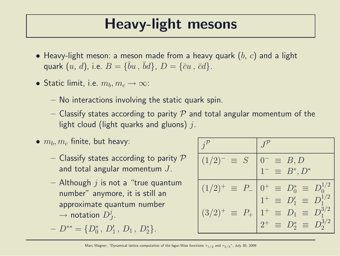## Heavy-light mesons

- Heavy-light meson: a meson made from a heavy quark  $(b, c)$  and a light quark  $(u, d)$ , i.e.  $B = \{\bar{b}u, \bar{b}d\}$ ,  $D = \{\bar{c}u, \bar{c}d\}$ .
- Static limit, i.e.  $m_b, m_c \rightarrow \infty$ :
	- No interactions involving the static quark spin.
	- Classify states according to parity  $P$  and total angular momentum of the light cloud (light quarks and gluons)  $j$ .
- $\bullet$   $m_b, m_c$  finite, but heavy:
	- Classify states according to parity  $P$ and total angular momentum J.
	- Although  $j$  is not a "true quantum number" anymore, it is still an approximate quantum number  $\rightarrow$  notation  $D_j^j$  $\frac{j}{J}$ .

$$
- D^{**} = \{D_0^*, D_1', D_1, D_2^*\}.
$$

| $(1/2)^{-}$<br>$\equiv S$       | $0^- \equiv B, D$<br>$1^- \equiv B^*, D^*$                                |
|---------------------------------|---------------------------------------------------------------------------|
| $(1/2)^{+}$<br>$\equiv$ $P_{-}$ | $0^+ \equiv D_0^* \equiv D_0^{1/2}$<br>$1^+ \equiv D_1' \equiv D_1^{1/2}$ |
| $(3/2)^{+}$<br>$\equiv$ $P_{+}$ | $1^+ \equiv D_1 \equiv D_1^{3/2}$                                         |
|                                 | $2^+ \equiv D_2^* \equiv D_2^{3/2}$                                       |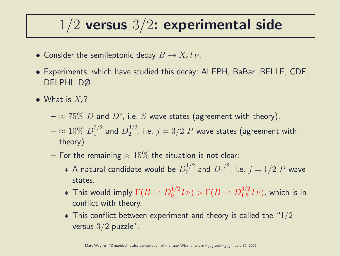## $1/2$  versus  $3/2$ : experimental side

- Consider the semileptonic decay  $B \to X_c l \, \nu$ .
- Experiments, which have studied this decay: ALEPH, BaBar, BELLE, CDF, DELPHI, DØ.
- What is  $X_c$ ?
	- $\approx$   $75\%$   $D$  and  $D^*$ , i.e.  $S$  wave states (agreement with theory).
	- $\approx 10\% \ D_1^{3/2}$  $_1^{3/2}$  and  $D_2^{3/2}$  $2^{3/2}$ , i.e.  $j = 3/2$   $P$  wave states (agreement with theory).
	- For the remaining  $\approx 15\%$  the situation is not clear:
		- $\;\ast$  A natural candidate would be  $D_0^{1/2}$  $_0^{1/2}$  and  $D_1^{1/2}$  $j^{1/2}$ , i.e.  $j = 1/2$   $P$  wave states.
		- $*$  This would imply  $\Gamma(B \to D^{1/2}_{0,1})$  $\int_{0,1}^{1/2} l \nu$   $> \Gamma(B \to D_{1,2}^{3/2})$  $_{1,2}^{3/2}$   $l\nu$ ), which is in conflict with theory.
		- $*$  This conflict between experiment and theory is called the "1/2 versus  $3/2$  puzzle".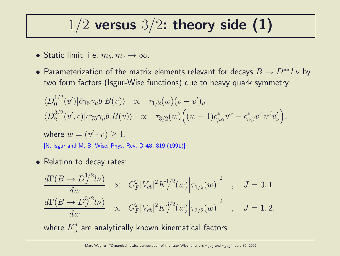## $1/2$  versus  $3/2$ : theory side (1)

- Static limit, i.e.  $m_b, m_c \rightarrow \infty$ .
- Parameterization of the matrix elements relevant for decays  $B \to D^{**} l \nu$  by two form factors (Isgur-Wise functions) due to heavy quark symmetry:

$$
\langle D_0^{1/2}(v')|\bar{c}\gamma_5\gamma_\mu b|B(v)\rangle \propto \tau_{1/2}(w)(v-v')_\mu
$$
  

$$
\langle D_2^{3/2}(v',\epsilon)|\bar{c}\gamma_5\gamma_\mu b|B(v)\rangle \propto \tau_{3/2}(w)\Big((w+1)\epsilon^*_{\mu\alpha}v^\alpha-\epsilon^*_{\alpha\beta}v^\alpha v^\beta v'_\nu\Big).
$$

where  $w=(v'\cdot v)\geq 1$ . [N. Isgur and M. B. Wise, Phys. Rev. D 43, 819 (1991)]

• Relation to decay rates:

$$
\frac{d\Gamma(B \to D_J^{1/2} l\nu)}{dw} \propto G_F^2 |V_{cb}|^2 K_J^{1/2}(w) |\tau_{1/2}(w)|^2 , \quad J = 0, 1
$$
  

$$
\frac{d\Gamma(B \to D_J^{3/2} l\nu)}{dw} \propto G_F^2 |V_{cb}|^2 K_J^{3/2}(w) |\tau_{3/2}(w)|^2 , \quad J = 1, 2,
$$

where  $K^j_J$  $_J^{\jmath}$  are analytically known kinematical factors.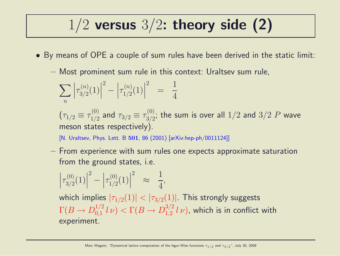## $1/2$  versus  $3/2$ : theory side (2)

- By means of OPE a couple of sum rules have been derived in the static limit:
	- Most prominent sum rule in this context: Uraltsev sum rule,

$$
\sum_{n} \left| \tau_{3/2}^{(n)}(1) \right|^2 - \left| \tau_{1/2}^{(n)}(1) \right|^2 = \frac{1}{4}
$$

 $(\tau_{1/2} \equiv \tau_{1/2}^{(0)}$  $\frac{1}{1/2}$  and  $\tau_{3/2} \equiv \tau_{3/2}^{(0)}$  $\frac{100}{3/2};$  the sum is over all  $1/2$  and  $3/2$   $P$  wave meson states respectively).

[N. Uraltsev, Phys. Lett. B 501, 86 (2001) [arXiv:hep-ph/0011124]]

– From experience with sum rules one expects approximate saturation from the ground states, i.e.

$$
\left|\tau_{3/2}^{(0)}(1)\right|^2 - \left|\tau_{1/2}^{(0)}(1)\right|^2 \approx \frac{1}{4},
$$

which implies  $|\tau_{1/2}(1)| < |\tau_{3/2}(1)|$ . This strongly suggests  $\Gamma(B \to D^{1/2}_{0,1}$  $\int_{0,1}^{1/2} l \nu$   $> \Gamma(B \to D_{1,2}^{3/2})$  $_{1,2}^{3/2}$   $l$   $\nu$ ), which is in conflict with experiment.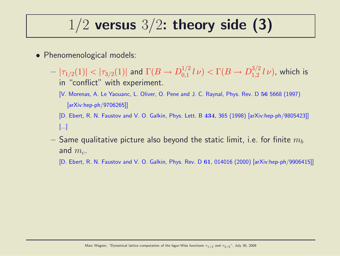## $1/2$  versus  $3/2$ : theory side (3)

- Phenomenological models:
	- $|\tau_{1/2}(1)|<|\tau_{3/2}(1)|$  and  $\Gamma(B\to D_{0,1}^{1/2})$  $\int_{0,1}^{1/2} l \nu$   $> \Gamma(B \to D_{1,2}^{3/2})$  $_{1,2}^{^{3/2}}$   $l\nu)$ , which is in "conflict" with experiment.
		- [V. Morenas, A. Le Yaouanc, L. Oliver, O. Pene and J. C. Raynal, Phys. Rev. D 56 5668 (1997) [arXiv:hep-ph/9706265]]
		- [D. Ebert, R. N. Faustov and V. O. Galkin, Phys. Lett. B 434, 365 (1998) [arXiv:hep-ph/9805423]] [...]
	- $-$  Same qualitative picture also beyond the static limit, i.e. for finite  $m_b$ and  $m_c$ .
		- [D. Ebert, R. N. Faustov and V. O. Galkin, Phys. Rev. D 61, 014016 (2000) [arXiv:hep-ph/9906415]]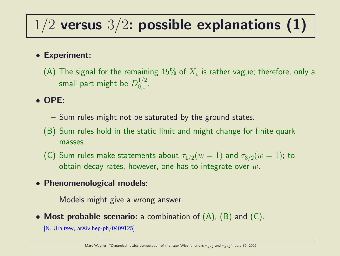# $1/2$  versus  $3/2$ : possible explanations (1)

#### • Experiment:

(A) The signal for the remaining  $15\%$  of  $X_c$  is rather vague; therefore, only a small part might be  $D_{0.1}^{1/2}$  $\frac{1}{2}$ .

#### • OPE:

- Sum rules might not be saturated by the ground states.
- (B) Sum rules hold in the static limit and might change for finite quark masses.
- (C) Sum rules make statements about  $\tau_{1/2}(w=1)$  and  $\tau_{3/2}(w=1)$ ; to obtain decay rates, however, one has to integrate over  $w$ .
- Phenomenological models:
	- Models might give a wrong answer.
- Most probable scenario: a combination of  $(A)$ ,  $(B)$  and  $(C)$ .

[N. Uraltsev, arXiv:hep-ph/0409125]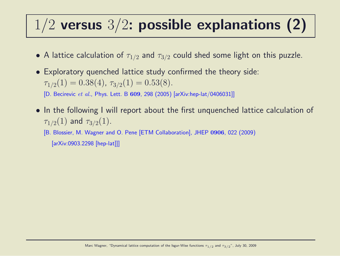# $1/2$  versus  $3/2$ : possible explanations (2)

- A lattice calculation of  $\tau_{1/2}$  and  $\tau_{3/2}$  could shed some light on this puzzle.
- Exploratory quenched lattice study confirmed the theory side:  $\tau_{1/2}(1) = 0.38(4), \tau_{3/2}(1) = 0.53(8).$

[D. Becirevic et al., Phys. Lett. B 609, 298 (2005) [arXiv:hep-lat/0406031]]

• In the following I will report about the first unquenched lattice calculation of  $\tau_{1/2}(1)$  and  $\tau_{3/2}(1)$ .

[B. Blossier, M. Wagner and O. Pene [ETM Collaboration], JHEP 0906, 022 (2009) [arXiv:0903.2298 [hep-lat]]]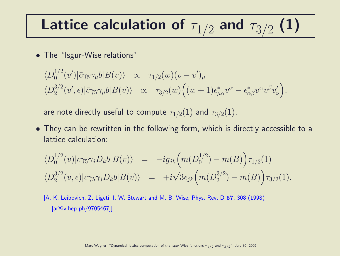# Lattice calculation of  $\tau_{1/2}$  and  $\tau_{3/2}$  (1)

• The "Isgur-Wise relations"

$$
\langle D_0^{1/2}(v')|\bar{c}\gamma_5\gamma_\mu b|B(v)\rangle \propto \tau_{1/2}(w)(v-v')_\mu
$$
  

$$
\langle D_2^{3/2}(v',\epsilon)|\bar{c}\gamma_5\gamma_\mu b|B(v)\rangle \propto \tau_{3/2}(w)\Big((w+1)\epsilon^*_{\mu\alpha}v^\alpha-\epsilon^*_{\alpha\beta}v^\alpha v^\beta v'_\nu\Big).
$$

are note directly useful to compute  $\tau_{1/2}(1)$  and  $\tau_{3/2}(1)$ .

• They can be rewritten in the following form, which is directly accessible to a lattice calculation:

$$
\langle D_0^{1/2}(v)|\bar{c}\gamma_5\gamma_j D_k b|B(v)\rangle = -ig_{jk}\Big(m(D_0^{1/2}) - m(B)\Big)\tau_{1/2}(1)
$$
  

$$
\langle D_2^{3/2}(v,\epsilon)|\bar{c}\gamma_5\gamma_j D_k b|B(v)\rangle = +i\sqrt{3}\epsilon_{jk}\Big(m(D_2^{3/2}) - m(B)\Big)\tau_{3/2}(1).
$$

[A. K. Leibovich, Z. Ligeti, I. W. Stewart and M. B. Wise, Phys. Rev. D 57, 308 (1998) [arXiv:hep-ph/9705467]]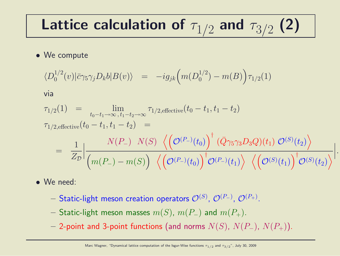# Lattice calculation of  $\tau_{1/2}$  and  $\tau_{3/2}$  (2)

#### • We compute

$$
\langle D_0^{1/2}(v) | \bar{c} \gamma_5 \gamma_j D_k b | B(v) \rangle = -ig_{jk} \Big( m(D_0^{1/2}) - m(B) \Big) \tau_{1/2}(1)
$$

via

$$
\tau_{1/2}(1) = \lim_{t_0 - t_1 \to \infty, t_1 - t_2 \to \infty} \tau_{1/2, \text{effective}}(t_0 - t_1, t_1 - t_2)
$$
\n
$$
\tau_{1/2, \text{effective}}(t_0 - t_1, t_1 - t_2) = \frac{N(P_-) N(S) \left\langle \left(\mathcal{O}^{(P_-)}(t_0)\right)^{\dagger} (\bar{Q} \gamma_5 \gamma_3 D_3 Q)(t_1) \mathcal{O}^{(S)}(t_2) \right\rangle}{Z_{\mathcal{D}}}\Big|_{\mathcal{M}(P_-) - m(S)} \frac{N(S) \left\langle \left(\mathcal{O}^{(P_-)}(t_0)\right)^{\dagger} (\bar{Q} \gamma_5 \gamma_3 D_3 Q)(t_1) \mathcal{O}^{(S)}(t_2) \right\rangle}{\left\langle \left(\mathcal{O}^{(S)}(t_1)\right)^{\dagger} \mathcal{O}^{(S)}(t_2) \right\rangle} \Big|.
$$

- We need:
	- $-$  Static-light meson creation operators  $\mathcal{O}^{(S)}$ ,  $\mathcal{O}^{(P_{-})}$ ,  $\mathcal{O}^{(P_{+})}$ .
	- Static-light meson masses  $m(S)$ ,  $m(P_{-})$  and  $m(P_{+})$ .
	- 2-point and 3-point functions (and norms  $N(S)$ ,  $N(P_+)$ ,  $N(P_+)$ ).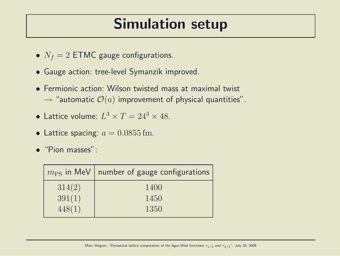## Simulation setup

- $N_f = 2$  ETMC gauge configurations.
- Gauge action: tree-level Symanzik improved.
- Fermionic action: Wilson twisted mass at maximal twist  $\rightarrow$  "automatic  $\mathcal{O}(a)$  improvement of physical quantities".
- Lattice volume:  $L^3 \times T = 24^3 \times 48$ .
- Lattice spacing:  $a = 0.0855$  fm.
- "Pion masses":

|        | $m_{\rm PS}$ in MeV   number of gauge configurations |
|--------|------------------------------------------------------|
| 314(2) | 1400                                                 |
| 391(1) | 1450                                                 |
| 448(1) | 1350                                                 |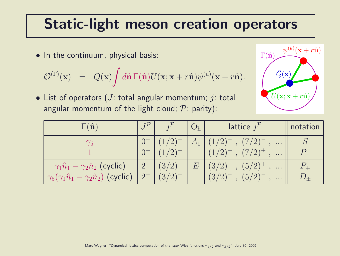## Static-light meson creation operators

• In the continuum, physical basis:

$$
\mathcal{O}^{(\Gamma)}(\mathbf{x}) = \bar{Q}(\mathbf{x}) \int d\hat{\mathbf{n}} \Gamma(\hat{\mathbf{n}}) U(\mathbf{x}; \mathbf{x} + r\hat{\mathbf{n}}) \psi^{(u)}(\mathbf{x} + r\hat{\mathbf{n}}).
$$

• List of operators (*J*: total angular momentum; *j*: total angular momentum of the light cloud;  $P$ : parity):

| $\psi^{(u)}({\bf x}+r\hat{{\bf n}})$<br>$\Gamma(\hat{\mathbf{n}})$ |
|--------------------------------------------------------------------|
|                                                                    |
| $\bar{Q}({\bf x})$                                                 |
| $U(\mathbf{x}; \mathbf{x} + r\hat{\mathbf{n}})$                    |
|                                                                    |

| $\Gamma(\hat{\mathbf{n}})$                                                                                     |                           |                  | lattice $j^{\prime}$                                                                                   | notation |
|----------------------------------------------------------------------------------------------------------------|---------------------------|------------------|--------------------------------------------------------------------------------------------------------|----------|
| $\gamma_5$                                                                                                     | $\sqrt{2}$<br>$(1/2)^{+}$ | $A_{\mathbf{1}}$ | $(7/2)^{-}$<br>$\cdots$<br>$(1/2)^+$ , $(7/2)^+$<br>$\cdots$                                           |          |
| $\gamma_1 \hat{n}_1 - \gamma_2 \hat{n}_2$ (cyclic)<br>$\gamma_5(\gamma_1\hat{n}_1-\gamma_2\hat{n}_2)$ (cyclic) | $(3/2)^{+}$<br>(3/2)      | $E\,$            | $(3/2)^{+}$ .<br>$(5/2)^{+}$<br>$\bullet$ .<br><br>$\bullet$<br>$(5/2)^{-}$<br>$(3/2)^{-}$<br>$\cdots$ |          |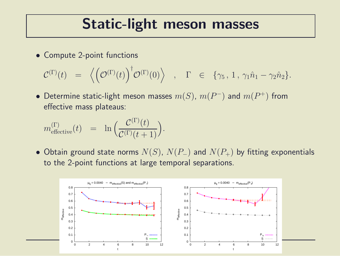### Static-light meson masses

• Compute 2-point functions

$$
\mathcal{C}^{(\Gamma)}(t) = \left\langle \left(\mathcal{O}^{(\Gamma)}(t)\right)^{\dagger} \mathcal{O}^{(\Gamma)}(0) \right\rangle , \quad \Gamma \in \{\gamma_5, 1, \gamma_1 \hat{n}_1 - \gamma_2 \hat{n}_2\}.
$$

• Determine static-light meson masses  $m(S)$ ,  $m(P^{-})$  and  $m(P^{+})$  from effective mass plateaus:

$$
m_{\text{effective}}^{(\Gamma)}(t) = \ln \Big( \frac{\mathcal{C}^{(\Gamma)}(t)}{\mathcal{C}^{(\Gamma)}(t+1)} \Big).
$$

• Obtain ground state norms  $N(S)$ ,  $N(P_+)$  and  $N(P_+)$  by fitting exponentials to the 2-point functions at large temporal separations.

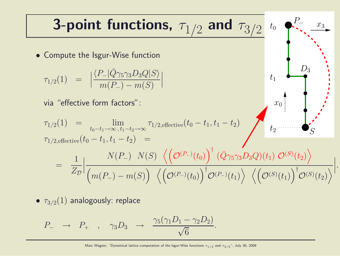**3-point functions,** 
$$
\tau_{1/2}
$$
 and  $\tau_{3/2}$  to  $P_{\tau_{\tau_{\tau_{1/2}}}}(1)$   
\n• Compute the Isgur-Wise function  
\n
$$
\tau_{1/2}(1) = \left| \frac{\langle P_{-} | \bar{Q} \gamma_{5} \gamma_{3} D_{3} Q | S \rangle}{m(P_{-}) - m(S)} \right|
$$
\nvia "effective form factors":  
\n
$$
\tau_{1/2}(1) = \lim_{t_0 - t_1 \to \infty, t_1 - t_2 \to \infty} \tau_{1/2, \text{effective}}(t_0 - t_1, t_1 - t_2)
$$
\n
$$
\tau_{1/2, \text{effective}}(t_0 - t_1, t_1 - t_2) = \frac{1}{Z_{\mathcal{D}}}\left| \frac{N(P_{-})}{(m(P_{-}) - m(S))} \left( \left( \mathcal{O}^{(P_{-})}(t_0) \right)^{\dagger} \left( \mathcal{O}^{\gamma_{5}} \gamma_{3} D_{3} Q \right)(t_1) \mathcal{O}^{(S)}(t_2) \right) \right|
$$

•  $\tau_{3/2}(1)$  analogously: replace

$$
P_- \rightarrow P_+ , \quad \gamma_3 D_3 \rightarrow \frac{\gamma_5(\gamma_1 D_1 - \gamma_2 D_2)}{\sqrt{6}}.
$$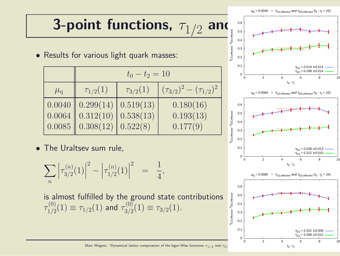# 3-point functions,  $\tau_{1/2}$  and  $\frac{1}{2}$  and  $\frac{1}{2}$

• Results for various light quark masses:

|               | $t_0 - t_2 = 10$                                    |                 |                                 |  |  |  |
|---------------|-----------------------------------------------------|-----------------|---------------------------------|--|--|--|
| $\mu_{\rm q}$ | $\tau_{1/2}(1)$                                     | $\tau_{3/2}(1)$ | $(\tau_{3/2})^2-(\tau_{1/2})^2$ |  |  |  |
|               | $0.0040$ 0.299(14)                                  | 0.519(13)       | 0.180(16)                       |  |  |  |
|               | $0.0064$ 0.312(10)                                  | 0.538(13)       | 0.193(13)                       |  |  |  |
|               | $\vert 0.0085 \vert \vert 0.308(12) \vert 0.522(8)$ |                 | 0.177(9)                        |  |  |  |

• The Uraltsev sum rule,

$$
\sum_{n} \left| \tau_{3/2}^{(n)}(1) \right|^2 - \left| \tau_{1/2}^{(n)}(1) \right|^2 = \frac{1}{4},
$$

is almost fulfilled by the ground state contributions  $\tau^{(0)}_{1/2}$  $\tau^{(0)}_{1/2}(1) \equiv \tau_{1/2}(1)$  and  $\tau^{(0)}_{3/2}$  $T^{(0)}_{3/2}(1) \equiv \tau_{3/2}(1).$ 



Marc Wagner, "Dynamical lattice computation of the Isgur-Wise functions  $\tau_{1/2}$  and  $\tau_{3/2}$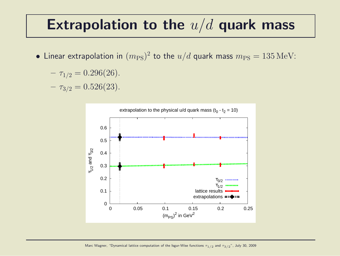### Extrapolation to the  $u/d$  quark mass

• Linear extrapolation in  $(m_{\rm PS})^2$  to the  $u/d$  quark mass  $m_{\rm PS} = 135\,{\rm MeV}$ :

$$
- \tau_{1/2} = 0.296(26).
$$

 $- \tau_{3/2} = 0.526(23)$ .

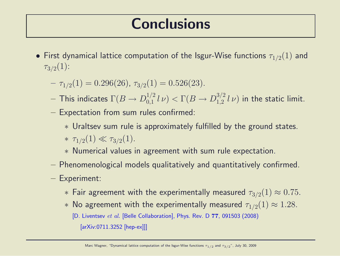## **Conclusions**

- First dynamical lattice computation of the Isgur-Wise functions  $\tau_{1/2}(1)$  and  $\tau_{3/2}(1)$ :
	- $-\tau_{1/2}(1) = 0.296(26), \tau_{3/2}(1) = 0.526(23).$
	- $-$  This indicates  $\Gamma(B\to D^{1/2}_{0,1})$  $\int_{0,1}^{1/2} l \nu$   $\triangleright$   $\Gamma(B \to D_{1,2}^{3/2})$  $_{1,2}^{3/2}$   $l\nu$ ) in the static limit.
	- Expectation from sum rules confirmed:
		- ∗ Uraltsev sum rule is approximately fulfilled by the ground states. \*  $\tau_{1/2}(1) \ll \tau_{3/2}(1)$ .
		- ∗ Numerical values in agreement with sum rule expectation.
	- Phenomenological models qualitatively and quantitatively confirmed.
	- Experiment:
		- $*$  Fair agreement with the experimentally measured  $\tau_{3/2}(1) \approx 0.75$ .
		- $∗$  No agreement with the experimentally measured  $\tau_{1/2}(1) \approx 1.28$ .
			- [D. Liventsev et al. [Belle Collaboration], Phys. Rev. D 77, 091503 (2008)

[arXiv:0711.3252 [hep-ex]]]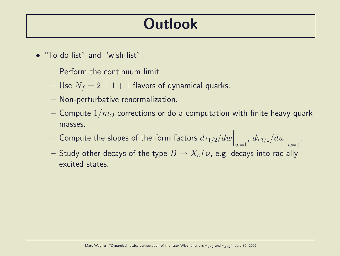## **Outlook**

- "To do list" and "wish list":
	- Perform the continuum limit.
	- Use  $N_f = 2 + 1 + 1$  flavors of dynamical quarks.
	- Non-perturbative renormalization.
	- Compute  $1/m_Q$  corrections or do a computation with finite heavy quark masses.

.

- $-$  Compute the slopes of the form factors  $d\tau_{1/2}/dw\Big|$  $\overline{\phantom{a}}$  $\Big|_{w=1}$ ,  $d\tau_{3/2}/dw\Big|$  $\Big\}$  $|w=1$
- $-$  Study other decays of the type  $B\to X_c$   $l$   $\nu$ , e.g. decays into radially excited states.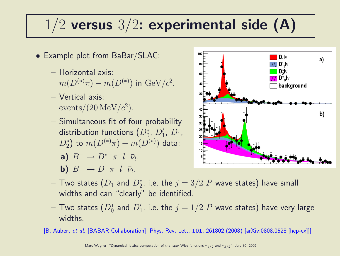## $1/2$  versus  $3/2$ : experimental side (A)

- Example plot from BaBar/SLAC:
	- Horizontal axis:  $m(D^{(*)}\pi) - m(D^{(*)})$  in  ${\rm GeV}/c^2$ .
	- Vertical axis:  $\frac{\text{events}}{20 \,\text{MeV}}/c^2$ .
	- Simultaneous fit of four probability distribution functions  $(D_0^*,\ D_1',\ D_1,$  $(D_2^*)$  to  $m(D^{(*)}\pi) - m(D^{(*)})$  data:

a) 
$$
B^- \to D^{*+}\pi^-l^-\bar{\nu}_l.
$$

**b)**  $B^- \to D^+ \pi^- l^- \bar{\nu}_l$ .



- $-$  Two states  $(D_1$  and  $D_2^\ast$ , i.e. the  $j=3/2$   $P$  wave states) have small widths and can "clearly" be identified.
- $-$  Two states  $(D_0^{\ast}% )^{\ast}$  and  $D_1^{\prime}$  , i.e. the  $j=1/2$   $P$  wave states) have very large widths.

[B. Aubert et al. [BABAR Collaboration], Phys. Rev. Lett. 101, 261802 (2008) [arXiv:0808.0528 [hep-ex]]]